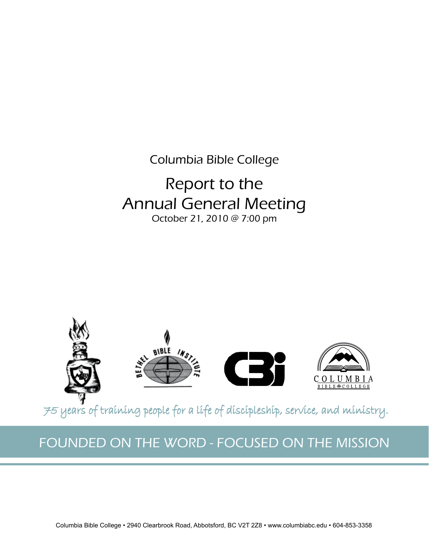Columbia Bible College

# Report to the Annual General Meeting October 21, 2010 @ 7:00 pm



75 years of training people for a life of discipleship, service, and ministry.

# FOUNDED ON THE WORD - FOCUSED ON THE MISSION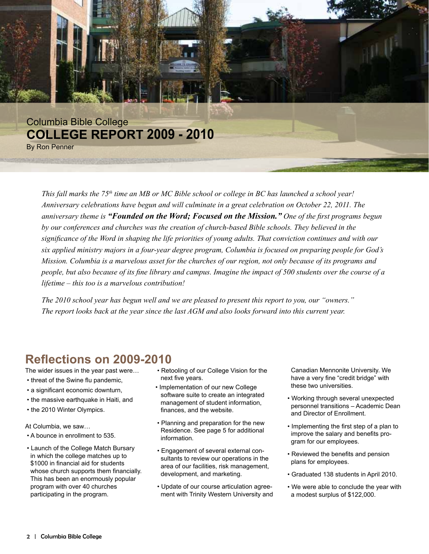

*This fall marks the 75th time an MB or MC Bible school or college in BC has launched a school year! Anniversary celebrations have begun and will culminate in a great celebration on October 22, 2011. The anniversary theme is "Founded on the Word; Focused on the Mission." One of the first programs begun by our conferences and churches was the creation of church-based Bible schools. They believed in the significance of the Word in shaping the life priorities of young adults. That conviction continues and with our six applied ministry majors in a four-year degree program, Columbia is focused on preparing people for God's Mission. Columbia is a marvelous asset for the churches of our region, not only because of its programs and people, but also because of its fine library and campus. Imagine the impact of 500 students over the course of a lifetime – this too is a marvelous contribution!*

*The 2010 school year has begun well and we are pleased to present this report to you, our "owners." The report looks back at the year since the last AGM and also looks forward into this current year.*

### **Reflections on 2009-2010**

The wider issues in the year past were…

- threat of the Swine flu pandemic,
- a significant economic downturn,
- the massive earthquake in Haiti, and
- the 2010 Winter Olympics.

At Columbia, we saw…

- A bounce in enrollment to 535.
- Launch of the College Match Bursary in which the college matches up to \$1000 in financial aid for students whose church supports them financially. This has been an enormously popular program with over 40 churches participating in the program.
- Retooling of our College Vision for the next five years.
- Implementation of our new College software suite to create an integrated management of student information, finances, and the website.
- Planning and preparation for the new Residence. See page 5 for additional information.
- Engagement of several external con sultants to review our operations in the area of our facilities, risk management, development, and marketing.
- Update of our course articulation agree ment with Trinity Western University and

 Canadian Mennonite University. We have a very fine "credit bridge" with these two universities.

- Working through several unexpected personnel transitions – Academic Dean and Director of Enrollment.
- Implementing the first step of a plan to improve the salary and benefits pro gram for our employees.
- Reviewed the benefits and pension plans for employees.
- Graduated 138 students in April 2010.
- We were able to conclude the year with a modest surplus of \$122,000.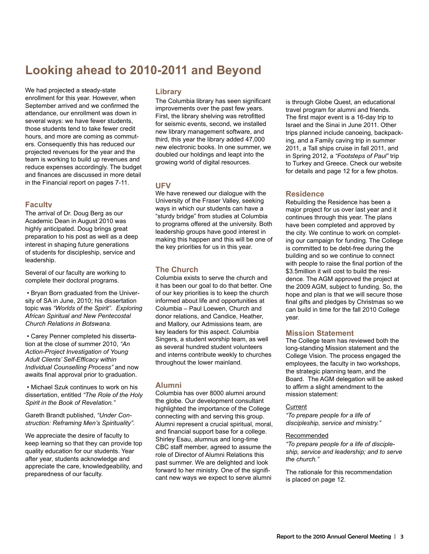### **Looking ahead to 2010-2011 and Beyond**

We had projected a steady-state enrollment for this year. However, when September arrived and we confirmed the attendance, our enrollment was down in several ways: we have fewer students, those students tend to take fewer credit hours, and more are coming as commuters. Consequently this has reduced our projected revenues for the year and the team is working to build up revenues and reduce expenses accordingly. The budget and finances are discussed in more detail in the Financial report on pages 7-11.

#### **Faculty**

The arrival of Dr. Doug Berg as our Academic Dean in August 2010 was highly anticipated. Doug brings great preparation to his post as well as a deep interest in shaping future generations of students for discipleship, service and leadership.

Several of our faculty are working to complete their doctoral programs.

 • Bryan Born graduated from the University of SA in June, 2010; his dissertation topic was *"Worlds of the Spirit". Exploring African Spiritual and New Pentecostal Church Relations in Botswana.*

• Carey Penner completed his dissertation at the close of summer 2010, *"An Action-Project Investigation of Young Adult Clients' Self-Efficacy within Individual Counselling Process"* and now awaits final approval prior to graduation.

• Michael Szuk continues to work on his dissertation, entitled *"The Role of the Holy Spirit in the Book of Revelation."*

Gareth Brandt published, *"Under Construction: Reframing Men's Spirituality".*

We appreciate the desire of faculty to keep learning so that they can provide top quality education for our students. Year after year, students acknowledge and appreciate the care, knowledgeability, and preparedness of our faculty.

#### **Library**

The Columbia library has seen significant improvements over the past few years. First, the library shelving was retrofitted for seismic events, second, we installed new library management software, and third, this year the library added 47,000 new electronic books. In one summer, we doubled our holdings and leapt into the growing world of digital resources.

#### **UFV**

We have renewed our dialogue with the University of the Fraser Valley, seeking ways in which our students can have a "sturdy bridge" from studies at Columbia to programs offered at the university. Both leadership groups have good interest in making this happen and this will be one of the key priorities for us in this year.

#### **The Church**

Columbia exists to serve the church and it has been our goal to do that better. One of our key priorities is to keep the church informed about life and opportunities at Columbia – Paul Loewen, Church and donor relations, and Candice, Heather, and Mallory, our Admissions team, are key leaders for this aspect. Columbia Singers, a student worship team, as well as several hundred student volunteers and interns contribute weekly to churches throughout the lower mainland.

#### **Alumni**

Columbia has over 8000 alumni around the globe. Our development consultant highlighted the importance of the College connecting with and serving this group. Alumni represent a crucial spiritual, moral, and financial support base for a college. Shirley Esau, alumnus and long-time CBC staff member, agreed to assume the role of Director of Alumni Relations this past summer. We are delighted and look forward to her ministry. One of the significant new ways we expect to serve alumni

is through Globe Quest, an educational travel program for alumni and friends. The first major event is a 16-day trip to Israel and the Sinai in June 2011. Other trips planned include canoeing, backpacking, and a Family caving trip in summer 2011, a Tall ships cruise in fall 2011, and in Spring 2012, a *"Footsteps of Paul"* trip to Turkey and Greece. Check our website for details and page 12 for a few photos.

#### **Residence**

Rebuilding the Residence has been a major project for us over last year and it continues through this year. The plans have been completed and approved by the city. We continue to work on completing our campaign for funding. The College is committed to be debt-free during the building and so we continue to connect with people to raise the final portion of the \$3.5million it will cost to build the residence. The AGM approved the project at the 2009 AGM, subject to funding. So, the hope and plan is that we will secure those final gifts and pledges by Christmas so we can build in time for the fall 2010 College year.

#### **Mission Statement**

The College team has reviewed both the long-standing Mission statement and the College Vision. The process engaged the employees, the faculty in two workshops, the strategic planning team, and the Board. The AGM delegation will be asked to affirm a slight amendment to the mission statement:

#### **Current**

*"To prepare people for a life of discipleship, service and ministry."*

#### Recommended

*"To prepare people for a life of discipleship, service and leadership; and to serve the church."*

The rationale for this recommendation is placed on page 12.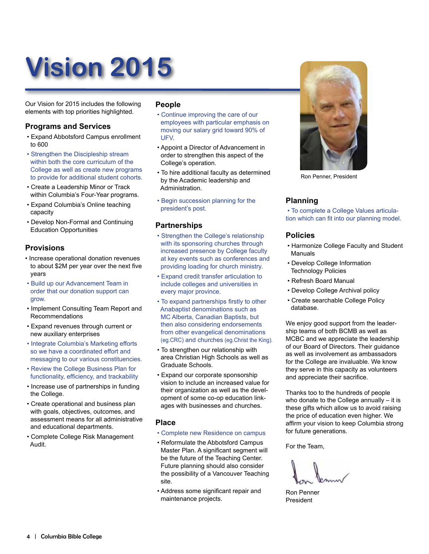# **Vision 2015**

Our Vision for 2015 includes the following elements with top priorities highlighted.

#### **Programs and Services**

- Expand Abbotsford Campus enrollment to 600
- Strengthen the Discipleship stream within both the core curriculum of the College as well as create new programs to provide for additional student cohorts.
- Create a Leadership Minor or Track within Columbia's Four-Year programs.
- Expand Columbia's Online teaching capacity
- Develop Non-Formal and Continuing Education Opportunities

#### **Provisions**

- Increase operational donation revenues to about \$2M per year over the next five years
- Build up our Advancement Team in order that our donation support can grow.
- Implement Consulting Team Report and Recommendations
- Expand revenues through current or new auxiliary enterprises
- Integrate Columbia's Marketing efforts so we have a coordinated effort and messaging to our various constituencies.
- Review the College Business Plan for functionality, efficiency, and trackability
- Increase use of partnerships in funding the College.
- Create operational and business plan with goals, objectives, outcomes, and assessment means for all administrative and educational departments.
- Complete College Risk Management Audit.

#### **People**

- Continue improving the care of our employees with particular emphasis on moving our salary grid toward 90% of UFV.
- Appoint a Director of Advancement in order to strengthen this aspect of the College's operation.
- To hire additional faculty as determined by the Academic leadership and Administration.
- Begin succession planning for the president's post.

#### **Partnerships**

- Strengthen the College's relationship with its sponsoring churches through increased presence by College faculty at key events such as conferences and providing loading for church ministry.
- Expand credit transfer articulation to include colleges and universities in every major province.
- To expand partnerships firstly to other Anabaptist denominations such as MC Alberta, Canadian Baptists, but then also considering endorsements from other evangelical denominations (eg.CRC) and churches (eg.Christ the King).
- To strengthen our relationship with area Christian High Schools as well as Graduate Schools.
- Expand our corporate sponsorship vision to include an increased value for their organization as well as the devel opment of some co-op education link ages with businesses and churches.

#### **Place**

- Complete new Residence on campus
- Reformulate the Abbotsford Campus Master Plan. A significant segment will be the future of the Teaching Center. Future planning should also consider the possibility of a Vancouver Teaching site.
- Address some significant repair and maintenance projects.



Ron Penner, President

#### **Planning**

• To complete a College Values articulation which can fit into our planning model.

#### **Policies**

- Harmonize College Faculty and Student Manuals
- Develop College Information Technology Policies
- Refresh Board Manual
- Develop College Archival policy
- Create searchable College Policy database.

We enjoy good support from the leadership teams of both BCMB as well as MCBC and we appreciate the leadership of our Board of Directors. Their guidance as well as involvement as ambassadors for the College are invaluable. We know they serve in this capacity as volunteers and appreciate their sacrifice.

Thanks too to the hundreds of people who donate to the College annually – it is these gifts which allow us to avoid raising the price of education even higher. We affirm your vision to keep Columbia strong for future generations.

For the Team,

Ron Penner President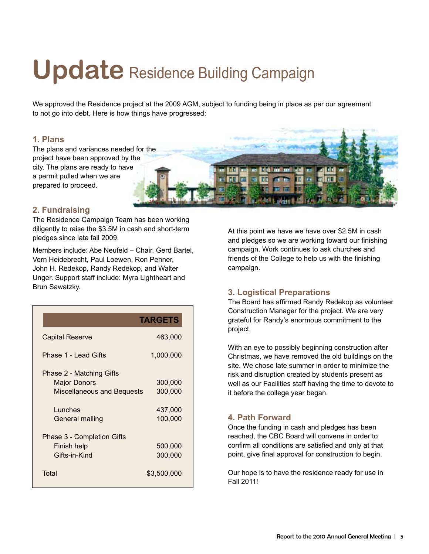# Update Residence Building Campaign

We approved the Residence project at the 2009 AGM, subject to funding being in place as per our agreement to not go into debt. Here is how things have progressed:

#### **1. Plans**

The plans and variances needed for the project have been approved by the city. The plans are ready to have a permit pulled when we are prepared to proceed.

#### **2. Fundraising**

The Residence Campaign Team has been working diligently to raise the \$3.5M in cash and short-term pledges since late fall 2009.

Members include: Abe Neufeld – Chair, Gerd Bartel, Vern Heidebrecht, Paul Loewen, Ron Penner, John H. Redekop, Randy Redekop, and Walter Unger. Support staff include: Myra Lightheart and Brun Sawatzky.

|                                   | <b>TARGETS</b> |
|-----------------------------------|----------------|
| Capital Reserve                   | 463,000        |
| Phase 1 - Lead Gifts              | 1,000,000      |
| Phase 2 - Matching Gifts          |                |
| Major Donors                      | 300,000        |
| <b>Miscellaneous and Bequests</b> | 300,000        |
| Lunches                           | 437,000        |
| General mailing                   | 100,000        |
| Phase 3 - Completion Gifts        |                |
| Finish help                       | 500,000        |
| Gifts-in-Kind                     | 300,000        |
| Total                             | \$3,500,000    |

At this point we have we have over \$2.5M in cash and pledges so we are working toward our finishing campaign. Work continues to ask churches and friends of the College to help us with the finishing campaign.

#### **3. Logistical Preparations**

The Board has affirmed Randy Redekop as volunteer Construction Manager for the project. We are very grateful for Randy's enormous commitment to the project.

With an eye to possibly beginning construction after Christmas, we have removed the old buildings on the site. We chose late summer in order to minimize the risk and disruption created by students present as well as our Facilities staff having the time to devote to it before the college year began.

#### **4. Path Forward**

Once the funding in cash and pledges has been reached, the CBC Board will convene in order to confirm all conditions are satisfied and only at that point, give final approval for construction to begin.

Our hope is to have the residence ready for use in Fall 2011!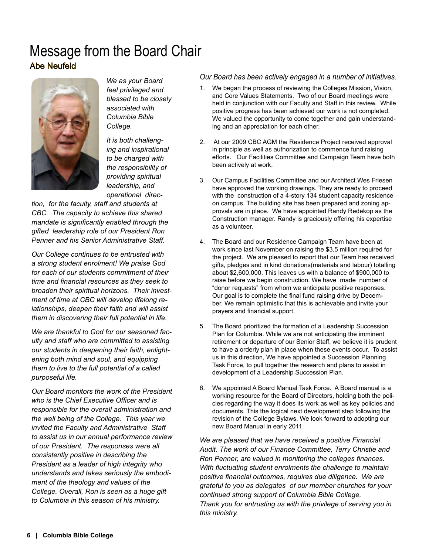### Message from the Board Chair Abe Neufeld



*We as your Board feel privileged and blessed to be closely associated with Columbia Bible College.* 

*It is both challenging and inspirational to be charged with the responsibility of providing spiritual leadership, and operational direc-*

*tion, for the faculty, staff and students at CBC. The capacity to achieve this shared mandate is significantly enabled through the gifted leadership role of our President Ron Penner and his Senior Administrative Staff.*

*Our College continues to be entrusted with a strong student enrolment! We praise God for each of our students commitment of their time and financial resources as they seek to broaden their spiritual horizons. Their investment of time at CBC will develop lifelong relationships, deepen their faith and will assist them in discovering their full potential in life.*

*We are thankful to God for our seasoned faculty and staff who are committed to assisting our students in deepening their faith, enlightening both mind and soul, and equipping them to live to the full potential of a called purposeful life.*

*Our Board monitors the work of the President who is the Chief Executive Officer and is responsible for the overall administration and the well being of the College. This year we invited the Faculty and Administrative Staff to assist us in our annual performance review of our President. The responses were all consistently positive in describing the President as a leader of high integrity who understands and takes seriously the embodiment of the theology and values of the College. Overall, Ron is seen as a huge gift to Columbia in this season of his ministry.*

#### *Our Board has been actively engaged in a number of initiatives.*

- 1. We began the process of reviewing the Colleges Mission, Vision, and Core Values Statements. Two of our Board meetings were held in conjunction with our Faculty and Staff in this review. While positive progress has been achieved our work is not completed. We valued the opportunity to come together and gain understanding and an appreciation for each other.
- 2. At our 2009 CBC AGM the Residence Project received approval in principle as well as authorization to commence fund raising efforts. Our Facilities Committee and Campaign Team have both been actively at work.
- 3. Our Campus Facilities Committee and our Architect Wes Friesen have approved the working drawings. They are ready to proceed with the construction of a 4-story 134 student capacity residence on campus. The building site has been prepared and zoning approvals are in place. We have appointed Randy Redekop as the Construction manager. Randy is graciously offering his expertise as a volunteer.
- 4. The Board and our Residence Campaign Team have been at work since last November on raising the \$3.5 million required for the project. We are pleased to report that our Team has received gifts, pledges and in kind donations(materials and labour) totalling about \$2,600,000. This leaves us with a balance of \$900,000 to raise before we begin construction. We have made number of "donor requests" from whom we anticipate positive responses. Our goal is to complete the final fund raising drive by December. We remain optimistic that this is achievable and invite your prayers and financial support.
- 5. The Board prioritized the formation of a Leadership Succession Plan for Columbia. While we are not anticipating the imminent retirement or departure of our Senior Staff, we believe it is prudent to have a orderly plan in place when these events occur. To assist us in this direction, We have appointed a Succession Planning Task Force, to pull together the research and plans to assist in development of a Leadership Succession Plan.
- 6. We appointed A Board Manual Task Force. A Board manual is a working resource for the Board of Directors, holding both the policies regarding the way it does its work as well as key policies and documents. This the logical next development step following the revision of the College Bylaws. We look forward to adopting our new Board Manual in early 2011.

*We are pleased that we have received a positive Financial Audit. The work of our Finance Committee, Terry Christie and Ron Penner, are valued in monitoring the colleges finances. With fluctuating student enrolments the challenge to maintain positive financial outcomes, requires due diligence. We are grateful to you as delegates of our member churches for your continued strong support of Columbia Bible College. Thank you for entrusting us with the privilege of serving you in this ministry.*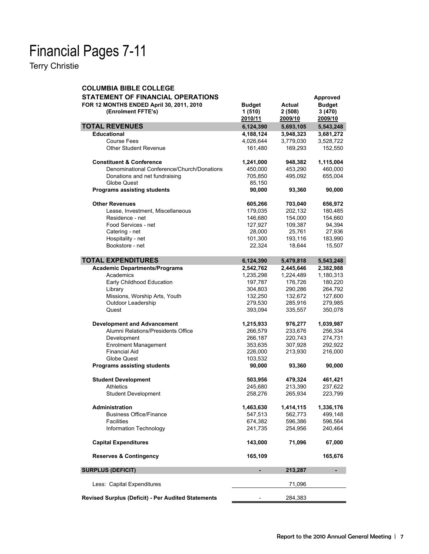# Financial Pages 7-11

Terry Christie

| <b>COLUMBIA BIBLE COLLEGE</b>                                  |                                    |                             |                                    |
|----------------------------------------------------------------|------------------------------------|-----------------------------|------------------------------------|
| <b>STATEMENT OF FINANCIAL OPERATIONS</b>                       |                                    |                             | <b>Approved</b>                    |
| FOR 12 MONTHS ENDED April 30, 2011, 2010<br>(Enrolment FFTE's) | <b>Budget</b><br>1(510)<br>2010/11 | Actual<br>2(508)<br>2009/10 | <b>Budget</b><br>3(470)<br>2009/10 |
| <b>TOTAL REVENUES</b>                                          | 6,124,390                          | 5,693,105                   | 5,543,248                          |
| <b>Educational</b>                                             | 4,188,124                          | 3,948,323                   | 3,681,272                          |
| <b>Course Fees</b>                                             | 4,026,644                          | 3,779,030                   | 3,528,722                          |
| <b>Other Student Revenue</b>                                   | 161,480                            | 169,293                     | 152,550                            |
|                                                                |                                    |                             |                                    |
| <b>Constituent &amp; Conference</b>                            | 1,241,000                          | 948,382                     | 1,115,004                          |
| Denominational Conference/Church/Donations                     | 450,000                            | 453,290                     | 460,000                            |
| Donations and net fundraising                                  | 705,850                            | 495,092                     | 655,004                            |
| Globe Quest                                                    | 85,150                             |                             |                                    |
| <b>Programs assisting students</b>                             | 90,000                             | 93,360                      | 90,000                             |
| <b>Other Revenues</b>                                          | 605,266                            | 703,040                     | 656,972                            |
| Lease, Investment, Miscellaneous                               | 179,035                            | 202,132                     | 180,485                            |
| Residence - net                                                | 146,680                            | 154,000                     | 154,660                            |
| Food Services - net                                            | 127,927                            | 109,387                     | 94,394                             |
| Catering - net                                                 | 28,000                             | 25,761                      | 27,936                             |
| Hospitality - net                                              | 101,300                            | 193,116                     | 183,990                            |
| Bookstore - net                                                | 22,324                             | 18,644                      | 15,507                             |
|                                                                |                                    |                             |                                    |
| <b>TOTAL EXPENDITURES</b>                                      | 6,124,390                          | 5,479,818                   | 5,543,248                          |
| <b>Academic Departments/Programs</b>                           | 2,542,762                          | 2,445,646                   | 2,382,988                          |
| Academics                                                      | 1,235,298                          | 1,224,489                   | 1,180,313                          |
| Early Childhood Education                                      | 197,787                            | 176,726                     | 180,220                            |
| Library                                                        | 304,803                            | 290,286                     | 264,792                            |
| Missions, Worship Arts, Youth                                  | 132,250                            | 132,672                     | 127,600                            |
| Outdoor Leadership                                             | 279,530                            | 285,916                     | 279,985                            |
| Quest                                                          | 393,094                            | 335,557                     | 350,078                            |
| <b>Development and Advancement</b>                             | 1,215,933                          | 976,277                     | 1,039,987                          |
| Alumni Relations/Presidents Office                             | 266,579                            | 233,676                     | 256,334                            |
| Development                                                    | 266,187                            | 220,743                     | 274,731                            |
| <b>Enrolment Management</b>                                    | 353,635                            | 307,928                     | 292,922                            |
| Financial Aid                                                  | 226,000                            | 213,930                     | 216,000                            |
| Globe Quest                                                    | 103,532                            |                             |                                    |
| <b>Programs assisting students</b>                             | 90,000                             | 93,360                      | 90,000                             |
| <b>Student Development</b>                                     |                                    |                             | 461,421                            |
| <b>Athletics</b>                                               | 503,956<br>245,680                 | 479,324<br>213,390          | 237,622                            |
| <b>Student Development</b>                                     | 258,276                            | 265,934                     | 223,799                            |
|                                                                |                                    |                             |                                    |
| Administration                                                 | 1,463,630                          | 1,414,115                   | 1,336,176                          |
| <b>Business Office/Finance</b>                                 | 547,513                            | 562,773                     | 499.148                            |
| Facilities                                                     | 674,382                            | 596,386                     | 596,564                            |
| Information Technology                                         | 241,735                            | 254,956                     | 240,464                            |
| <b>Capital Expenditures</b>                                    | 143,000                            | 71,096                      | 67,000                             |
| <b>Reserves &amp; Contingency</b>                              | 165,109                            |                             | 165,676                            |
| <b>SURPLUS (DEFICIT)</b>                                       | ٠                                  | 213,287                     | ۰                                  |
| Less: Capital Expenditures                                     |                                    | 71,096                      |                                    |
| <b>Revised Surplus (Deficit) - Per Audited Statements</b>      |                                    | 284,383                     |                                    |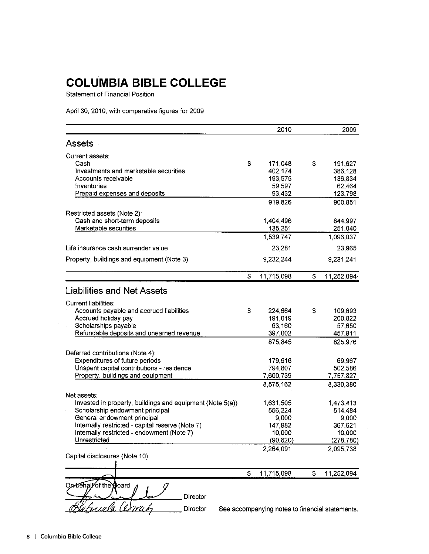# **COLUMBIA BIBLE COLLEGE**

Statement of Financial Position

April 30, 2010, with comparative figures for 2009

|                                                           | 2010                                            | 2009             |
|-----------------------------------------------------------|-------------------------------------------------|------------------|
| Assets -                                                  |                                                 |                  |
| Current assets:                                           |                                                 |                  |
| Cash                                                      | \$<br>171,048                                   | \$<br>191,627    |
| Investments and marketable securities                     | 402,174                                         | 386.128          |
| Accounts receivable                                       | 193,575                                         | 136,834          |
| Inventories                                               | 59,597                                          | 62,464           |
| Prepaid expenses and deposits                             | 93,432                                          | 123,798          |
|                                                           | 919,826                                         | 900,851          |
| Restricted assets (Note 2):                               |                                                 |                  |
| Cash and short-term deposits                              | 1,404,496                                       | 844,997          |
| Marketable securities                                     | 135,251                                         | 251,040          |
|                                                           | 1,539,747                                       | 1,096,037        |
| Life insurance cash surrender value                       | 23,281                                          | 23,965           |
| Property, buildings and equipment (Note 3)                | 9,232,244                                       | 9,231,241        |
|                                                           | \$<br>11,715,098                                | \$<br>11,252,094 |
|                                                           |                                                 |                  |
| <b>Liabilities and Net Assets</b>                         |                                                 |                  |
| Current liabilities:                                      |                                                 |                  |
| Accounts payable and accrued liabilities                  | \$<br>224,664                                   | \$<br>109,693    |
| Accrued holiday pay                                       | 191,019                                         | 200,822          |
| Scholarships payable                                      | 63,160                                          | 57,650           |
| Refundable deposits and unearned revenue                  | 397,002                                         | 457,811          |
|                                                           | 875,845                                         | 825,976          |
| Deferred contributions (Note 4):                          |                                                 |                  |
| Expenditures of future periods                            | 179,616                                         | 69,967           |
| Unspent capital contributions - residence                 | 794,807                                         | 502,586          |
| Property, buildings and equipment                         | 7,600,739                                       | 7,757,827        |
|                                                           | 8,575,162                                       | 8,330,380        |
| Net assets:                                               |                                                 |                  |
| Invested in property, buildings and equipment (Note 5(a)) | 1,631,505                                       | 1,473,413        |
| Scholarship endowment principal                           | 556,224                                         | 514,484          |
| General endowment principal                               | 9,000                                           | 9,000            |
| Internally restricted - capital reserve (Note 7)          | 147,982                                         | 367,621          |
| Internally restricted - endowment (Note 7)                | 10,000                                          | 10,000           |
| Unrestricted                                              | (90, 620)                                       | (278, 780)       |
| Capital disclosures (Note 10)                             | 2,264,091                                       | 2,095,738        |
|                                                           |                                                 |                  |
|                                                           | \$<br>11,715,098                                | \$<br>11,252,094 |
| On behalf of the Board<br>Director                        |                                                 |                  |
| Director                                                  | See accompanying notes to financial statements. |                  |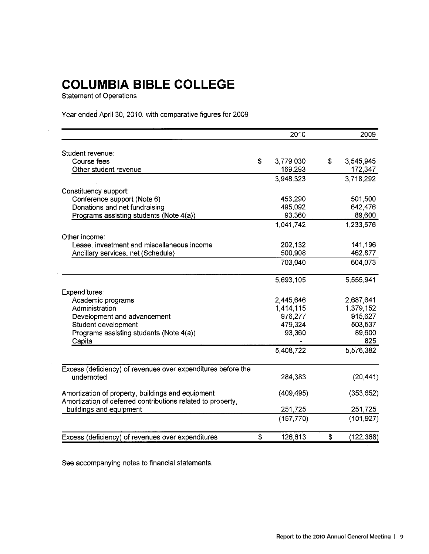# **COLUMBIA BIBLE COLLEGE**

**Statement of Operations** 

Year ended April 30, 2010, with comparative figures for 2009

|                                                              | 2010            | 2009             |
|--------------------------------------------------------------|-----------------|------------------|
| Student revenue:                                             |                 |                  |
| Course fees                                                  | \$<br>3,779,030 | \$<br>3,545,945  |
| Other student revenue                                        | 169,293         | 172,347          |
|                                                              | 3,948,323       | 3,718,292        |
| Constituency support:                                        |                 |                  |
| Conference support (Note 6)                                  | 453,290         | 501,500          |
| Donations and net fundraising                                | 495,092         | 642,476          |
| Programs assisting students (Note 4(a))                      | 93,360          | 89,600           |
|                                                              | 1,041,742       | 1,233,576        |
| Other income:                                                |                 |                  |
| Lease, investment and miscellaneous income                   | 202,132         | 141,196          |
| Ancillary services, net (Schedule)                           | 500,908         | 462,877          |
|                                                              | 703,040         | 604,073          |
|                                                              | 5,693,105       | 5,555,941        |
| Expenditures:                                                |                 |                  |
| Academic programs                                            | 2,445,646       | 2,687,641        |
| Administration                                               | 1,414,115       | 1,379,152        |
|                                                              | 976,277         | 915,627          |
| Development and advancement                                  | 479,324         | 503,537          |
| Student development                                          |                 |                  |
| Programs assisting students (Note 4(a))<br>Capital           | 93,360          | 89,600<br>825    |
|                                                              | 5,408,722       | 5,576,382        |
| Excess (deficiency) of revenues over expenditures before the |                 |                  |
| undernoted                                                   | 284,383         | (20, 441)        |
| Amortization of property, buildings and equipment            | (409, 495)      | (353, 652)       |
| Amortization of deferred contributions related to property,  |                 |                  |
| buildings and equipment                                      | 251,725         | 251,725          |
|                                                              | (157, 770)      | (101, 927)       |
| Excess (deficiency) of revenues over expenditures            | \$<br>126,613   | \$<br>(122, 368) |

See accompanying notes to financial statements.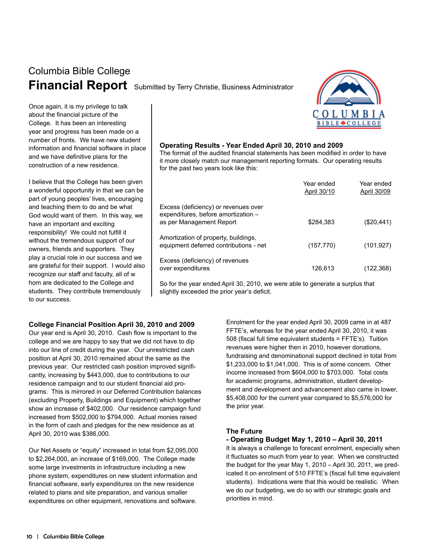# Columbia Bible College

**Financial Report** Submitted by Terry Christie, Business Administrator



Once again, it is my privilege to talk about the financial picture of the College. It has been an interesting year and progress has been made on a number of fronts. We have new student information and financial software in place and we have definitive plans for the construction of a new residence.

I believe that the College has been given a wonderful opportunity in that we can be part of young peoples' lives, encouraging and teaching them to do and be what God would want of them. In this way, we have an important and exciting responsibility! We could not fulfill it without the tremendous support of our owners, friends and supporters. They play a crucial role in our success and we are grateful for their support. I would also recognize our staff and faculty, all of w hom are dedicated to the College and students. They contribute tremendously to our success.

#### **Operating Results - Year Ended April 30, 2010 and 2009**

The format of the audited financial statements has been modified in order to have it more closely match our management reporting formats. Our operating results for the past two years look like this:

|                                                                                                         | Year ended<br>April 30/10 | Year ended<br>April 30/09 |
|---------------------------------------------------------------------------------------------------------|---------------------------|---------------------------|
| Excess (deficiency) or revenues over<br>expenditures, before amortization -<br>as per Management Report | \$284.383                 | $(\$20,441)$              |
| Amortization of property, buildings,<br>equipment deferred contributions - net                          | (157, 770)                | (101, 927)                |
| Excess (deficiency) of revenues<br>over expenditures                                                    | 126,613                   | (122,368)                 |

So for the year ended April 30, 2010, we were able to generate a surplus that slightly exceeded the prior year's deficit.

#### **College Financial Position April 30, 2010 and 2009**

Our year end is April 30, 2010. Cash flow is important to the college and we are happy to say that we did not have to dip into our line of credit during the year. Our unrestricted cash position at April 30, 2010 remained about the same as the previous year. Our restricted cash position improved significantly, increasing by \$443,000, due to contributions to our residence campaign and to our student financial aid programs. This is mirrored in our Deferred Contribution balances (excluding Property, Buildings and Equipment) which together show an increase of \$402,000. Our residence campaign fund increased from \$502,000 to \$794,000. Actual monies raised in the form of cash and pledges for the new residence as at April 30, 2010 was \$386,000.

Our Net Assets or "equity" increased in total from \$2,095,000 to \$2,264,000, an increase of \$169,000. The College made some large investments in infrastructure including a new phone system, expenditures on new student information and financial software, early expenditures on the new residence related to plans and site preparation, and various smaller expenditures on other equipment, renovations and software.

Enrolment for the year ended April 30, 2009 came in at 487 FFTE's, whereas for the year ended April 30, 2010, it was 508 (fiscal full time equivalent students = FFTE's). Tuition revenues were higher then in 2010, however donations, fundraising and denominational support declined in total from \$1,233,000 to \$1,041,000. This is of some concern. Other income increased from \$604,000 to \$703,000. Total costs for academic programs, administration, student development and development and advancement also came in lower, \$5,408,000 for the current year compared to \$5,576,000 for the prior year.

#### **The Future**

#### **- Operating Budget May 1, 2010 – April 30, 2011**

It is always a challenge to forecast enrolment, especially when it fluctuates so much from year to year. When we constructed the budget for the year May 1, 2010 – April 30, 2011, we predicated it on enrolment of 510 FFTE's (fiscal full time equivalent students). Indications were that this would be realistic. When we do our budgeting, we do so with our strategic goals and priorities in mind.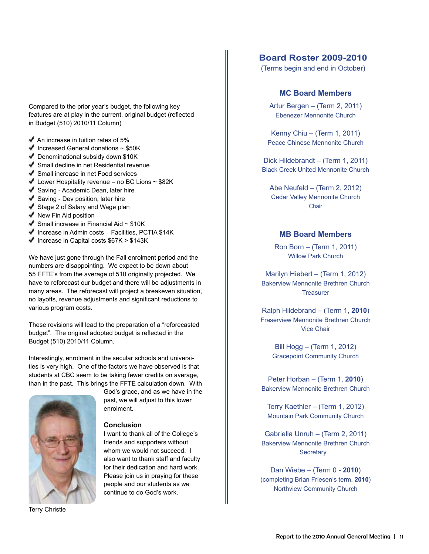Compared to the prior year's budget, the following key features are at play in the current, original budget (reflected in Budget (510) 2010/11 Column)

- $\blacktriangleright$  An increase in tuition rates of 5%
- $\blacktriangleright$  Increased General donations  $\sim$  \$50K
- ◆ Denominational subsidy down \$10K
- Small decline in net Residential revenue
- ◆ Small increase in net Food services
- $\blacklozenge$  Lower Hospitality revenue no BC Lions ~ \$82K
- ◆ Saving Academic Dean, later hire
- $\blacktriangleright$  Saving Dev position, later hire
- ◆ Stage 2 of Salary and Wage plan
- $\blacklozenge$  New Fin Aid position
- $\blacktriangleright$  Small increase in Financial Aid ~ \$10K
- $\blacktriangleright$  Increase in Admin costs Facilities, PCTIA \$14K
- $\blacklozenge$  Increase in Capital costs \$67K > \$143K

We have just gone through the Fall enrolment period and the numbers are disappointing. We expect to be down about 55 FFTE's from the average of 510 originally projected. We have to reforecast our budget and there will be adjustments in many areas. The reforecast will project a breakeven situation, no layoffs, revenue adjustments and significant reductions to various program costs.

These revisions will lead to the preparation of a "reforecasted budget". The original adopted budget is reflected in the Budget (510) 2010/11 Column.

Interestingly, enrolment in the secular schools and universities is very high. One of the factors we have observed is that students at CBC seem to be taking fewer credits on average, than in the past. This brings the FFTE calculation down. With



God's grace, and as we have in the past, we will adjust to this lower enrolment.

#### **Conclusion**

I want to thank all of the College's friends and supporters without whom we would not succeed. I also want to thank staff and faculty for their dedication and hard work. Please join us in praying for these people and our students as we continue to do God's work.

#### **Board Roster 2009-2010**

(Terms begin and end in October)

#### **MC Board Members**

Artur Bergen – (Term 2, 2011) Ebenezer Mennonite Church

Kenny Chiu – (Term 1, 2011) Peace Chinese Mennonite Church

Dick Hildebrandt – (Term 1, 2011) Black Creek United Mennonite Church

Abe Neufeld – (Term 2, 2012) Cedar Valley Mennonite Church Chair

#### **MB Board Members**

Ron Born – (Term 1, 2011) Willow Park Church

Marilyn Hiebert – (Term 1, 2012) Bakerview Mennonite Brethren Church **Treasurer** 

Ralph Hildebrand – (Term 1, **2010**) Fraserview Mennonite Brethren Church Vice Chair

> Bill Hogg – (Term 1, 2012) Gracepoint Community Church

Peter Horban – (Term 1, **2010**) Bakerview Mennonite Brethren Church

Terry Kaethler – (Term 1, 2012) Mountain Park Community Church

Gabriella Unruh – (Term 2, 2011) Bakerview Mennonite Brethren Church **Secretary** 

Dan Wiebe – (Term 0 - **2010**) (completing Brian Friesen's term, **2010**) Northview Community Church

Terry Christie